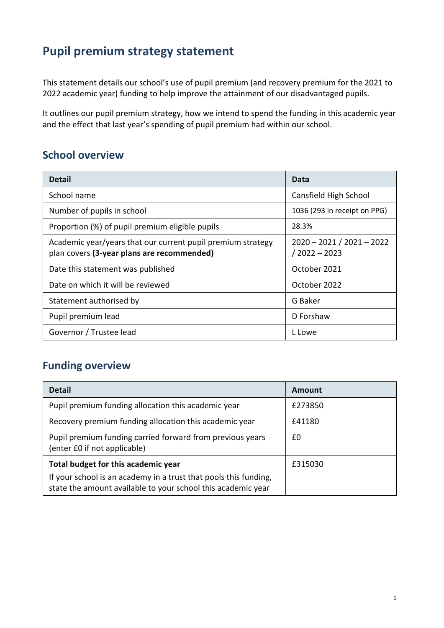# **Pupil premium strategy statement**

This statement details our school's use of pupil premium (and recovery premium for the 2021 to 2022 academic year) funding to help improve the attainment of our disadvantaged pupils.

It outlines our pupil premium strategy, how we intend to spend the funding in this academic year and the effect that last year's spending of pupil premium had within our school.

### **School overview**

| <b>Detail</b>                                                                                             | Data                                          |
|-----------------------------------------------------------------------------------------------------------|-----------------------------------------------|
| School name                                                                                               | Cansfield High School                         |
| Number of pupils in school                                                                                | 1036 (293 in receipt on PPG)                  |
| Proportion (%) of pupil premium eligible pupils                                                           | 28.3%                                         |
| Academic year/years that our current pupil premium strategy<br>plan covers (3-year plans are recommended) | $2020 - 2021 / 2021 - 2022$<br>$/2022 - 2023$ |
| Date this statement was published                                                                         | October 2021                                  |
| Date on which it will be reviewed                                                                         | October 2022                                  |
| Statement authorised by                                                                                   | G Baker                                       |
| Pupil premium lead                                                                                        | D Forshaw                                     |
| Governor / Trustee lead                                                                                   | L Lowe                                        |

## **Funding overview**

| <b>Detail</b>                                                                                                                    | Amount  |
|----------------------------------------------------------------------------------------------------------------------------------|---------|
| Pupil premium funding allocation this academic year                                                                              | £273850 |
| Recovery premium funding allocation this academic year                                                                           | £41180  |
| Pupil premium funding carried forward from previous years<br>(enter £0 if not applicable)                                        | £0      |
| Total budget for this academic year                                                                                              | £315030 |
| If your school is an academy in a trust that pools this funding,<br>state the amount available to your school this academic year |         |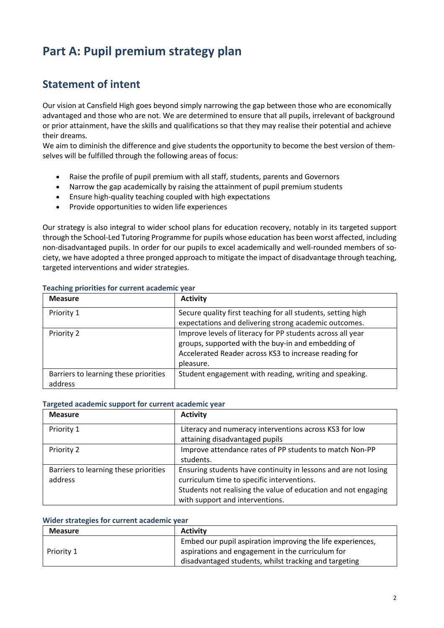# **Part A: Pupil premium strategy plan**

## **Statement of intent**

Our vision at Cansfield High goes beyond simply narrowing the gap between those who are economically advantaged and those who are not. We are determined to ensure that all pupils, irrelevant of background or prior attainment, have the skills and qualifications so that they may realise their potential and achieve their dreams.

We aim to diminish the difference and give students the opportunity to become the best version of themselves will be fulfilled through the following areas of focus:

- Raise the profile of pupil premium with all staff, students, parents and Governors
- Narrow the gap academically by raising the attainment of pupil premium students
- Ensure high-quality teaching coupled with high expectations
- Provide opportunities to widen life experiences

Our strategy is also integral to wider school plans for education recovery, notably in its targeted support through the School-Led Tutoring Programme for pupils whose education has been worst affected, including non-disadvantaged pupils. In order for our pupils to excel academically and well-rounded members of society, we have adopted a three pronged approach to mitigate the impact of disadvantage through teaching, targeted interventions and wider strategies.

| <b>Measure</b>                                   | <b>Activity</b>                                                                                                                                                                        |
|--------------------------------------------------|----------------------------------------------------------------------------------------------------------------------------------------------------------------------------------------|
| Priority 1                                       | Secure quality first teaching for all students, setting high<br>expectations and delivering strong academic outcomes.                                                                  |
| Priority 2                                       | Improve levels of literacy for PP students across all year<br>groups, supported with the buy-in and embedding of<br>Accelerated Reader across KS3 to increase reading for<br>pleasure. |
| Barriers to learning these priorities<br>address | Student engagement with reading, writing and speaking.                                                                                                                                 |

### **Teaching priorities for current academic year**

#### **Targeted academic support for current academic year**

| <b>Measure</b>                        | <b>Activity</b>                                                 |
|---------------------------------------|-----------------------------------------------------------------|
| Priority 1                            | Literacy and numeracy interventions across KS3 for low          |
|                                       | attaining disadvantaged pupils                                  |
| Priority 2                            | Improve attendance rates of PP students to match Non-PP         |
|                                       | students.                                                       |
| Barriers to learning these priorities | Ensuring students have continuity in lessons and are not losing |
| address                               | curriculum time to specific interventions.                      |
|                                       | Students not realising the value of education and not engaging  |
|                                       | with support and interventions.                                 |

#### **Wider strategies for current academic year**

| <b>Measure</b> | <b>Activity</b>                                            |
|----------------|------------------------------------------------------------|
|                | Embed our pupil aspiration improving the life experiences, |
| Priority 1     | aspirations and engagement in the curriculum for           |
|                | disadvantaged students, whilst tracking and targeting      |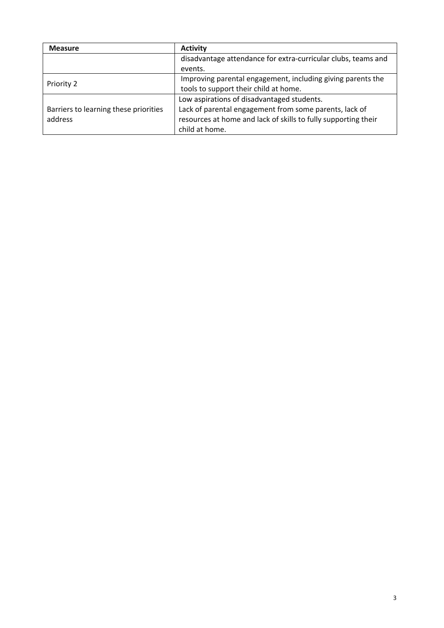| <b>Measure</b>                        | <b>Activity</b>                                                |
|---------------------------------------|----------------------------------------------------------------|
|                                       | disadvantage attendance for extra-curricular clubs, teams and  |
|                                       | events.                                                        |
|                                       | Improving parental engagement, including giving parents the    |
| Priority 2                            | tools to support their child at home.                          |
|                                       | Low aspirations of disadvantaged students.                     |
| Barriers to learning these priorities | Lack of parental engagement from some parents, lack of         |
| address                               | resources at home and lack of skills to fully supporting their |
|                                       | child at home.                                                 |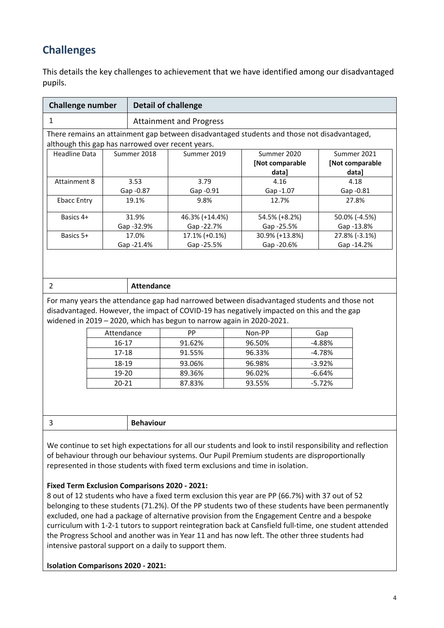## **Challenges**

This details the key challenges to achievement that we have identified among our disadvantaged pupils.

| <b>Challenge number</b>                           |             | <b>Detail of challenge</b>     |                                                                                             |                                |
|---------------------------------------------------|-------------|--------------------------------|---------------------------------------------------------------------------------------------|--------------------------------|
| 1                                                 |             | <b>Attainment and Progress</b> |                                                                                             |                                |
| although this gap has narrowed over recent years. |             |                                | There remains an attainment gap between disadvantaged students and those not disadvantaged, |                                |
| Headline Data                                     | Summer 2018 | Summer 2019                    | Summer 2020<br>[Not comparable                                                              | Summer 2021<br>[Not comparable |
| Attainment 8                                      | 3.53        | 3.79                           | data]<br>4.16                                                                               | data]<br>4.18                  |
|                                                   | Gap -0.87   | Gap -0.91                      | Gap -1.07                                                                                   | Gap -0.81                      |
| <b>Ebacc Entry</b>                                | 19.1%       | 9.8%                           | 12.7%                                                                                       | 27.8%                          |
| Basics 4+                                         | 31.9%       | 46.3% (+14.4%)                 | 54.5% (+8.2%)                                                                               | 50.0% (-4.5%)                  |
|                                                   | Gap -32.9%  | Gap -22.7%                     | Gap -25.5%                                                                                  | Gap -13.8%                     |
| Basics 5+                                         | 17.0%       | 17.1% (+0.1%)                  | 30.9% (+13.8%)                                                                              | 27.8% (-3.1%)                  |
|                                                   | Gap -21.4%  | Gap -25.5%                     | Gap -20.6%                                                                                  | Gap -14.2%                     |

| . . |
|-----|

#### 2 **Attendance**

For many years the attendance gap had narrowed between disadvantaged students and those not disadvantaged. However, the impact of COVID-19 has negatively impacted on this and the gap widened in 2019 – 2020, which has begun to narrow again in 2020-2021.

| Attendance | PP.    | Non-PP | Gap       |
|------------|--------|--------|-----------|
| 16-17      | 91.62% | 96.50% | -4.88%    |
| 17-18      | 91.55% | 96.33% | -4.78%    |
| 18-19      | 93.06% | 96.98% | $-3.92\%$ |
| 19-20      | 89.36% | 96.02% | -6.64%    |
| $20 - 21$  | 87.83% | 93.55% | $-5.72%$  |

3 **Behaviour** 

We continue to set high expectations for all our students and look to instil responsibility and reflection of behaviour through our behaviour systems. Our Pupil Premium students are disproportionally represented in those students with fixed term exclusions and time in isolation.

### **Fixed Term Exclusion Comparisons 2020 - 2021:**

8 out of 12 students who have a fixed term exclusion this year are PP (66.7%) with 37 out of 52 belonging to these students (71.2%). Of the PP students two of these students have been permanently excluded, one had a package of alternative provision from the Engagement Centre and a bespoke curriculum with 1-2-1 tutors to support reintegration back at Cansfield full-time, one student attended the Progress School and another was in Year 11 and has now left. The other three students had intensive pastoral support on a daily to support them.

**Isolation Comparisons 2020 - 2021:**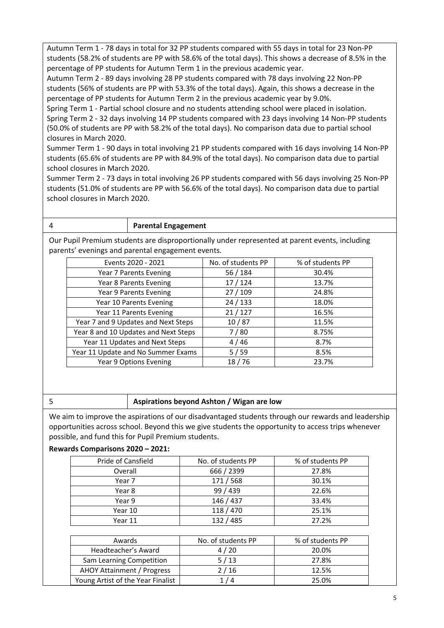Autumn Term 1 - 78 days in total for 32 PP students compared with 55 days in total for 23 Non-PP students (58.2% of students are PP with 58.6% of the total days). This shows a decrease of 8.5% in the percentage of PP students for Autumn Term 1 in the previous academic year.

Autumn Term 2 - 89 days involving 28 PP students compared with 78 days involving 22 Non-PP students (56% of students are PP with 53.3% of the total days). Again, this shows a decrease in the percentage of PP students for Autumn Term 2 in the previous academic year by 9.0%.

Spring Term 1 - Partial school closure and no students attending school were placed in isolation. Spring Term 2 - 32 days involving 14 PP students compared with 23 days involving 14 Non-PP students (50.0% of students are PP with 58.2% of the total days). No comparison data due to partial school closures in March 2020.

Summer Term 1 - 90 days in total involving 21 PP students compared with 16 days involving 14 Non-PP students (65.6% of students are PP with 84.9% of the total days). No comparison data due to partial school closures in March 2020.

Summer Term 2 - 73 days in total involving 26 PP students compared with 56 days involving 25 Non-PP students (51.0% of students are PP with 56.6% of the total days). No comparison data due to partial school closures in March 2020.

4 **Parental Engagement**

Our Pupil Premium students are disproportionally under represented at parent events, including parents' evenings and parental engagement events.

| Events 2020 - 2021                   | No. of students PP | % of students PP |
|--------------------------------------|--------------------|------------------|
| Year 7 Parents Evening               | 56 / 184           | 30.4%            |
| Year 8 Parents Evening               | 17/124             | 13.7%            |
| Year 9 Parents Evening               | 27/109             | 24.8%            |
| Year 10 Parents Evening              | 24/133             | 18.0%            |
| Year 11 Parents Evening              | 21/127             | 16.5%            |
| Year 7 and 9 Updates and Next Steps  | 10/87              | 11.5%            |
| Year 8 and 10 Updates and Next Steps | 7/80               | 8.75%            |
| Year 11 Updates and Next Steps       | 4/46               | 8.7%             |
| Year 11 Update and No Summer Exams   | 5/59               | 8.5%             |
| Year 9 Options Evening               | 18/76              | 23.7%            |

### 5 **Aspirations beyond Ashton / Wigan are low**

We aim to improve the aspirations of our disadvantaged students through our rewards and leadership opportunities across school. Beyond this we give students the opportunity to access trips whenever possible, and fund this for Pupil Premium students.

### **Rewards Comparisons 2020 – 2021:**

| Pride of Cansfield | No. of students PP | % of students PP |
|--------------------|--------------------|------------------|
| Overall            | 666 / 2399         | 27.8%            |
| Year 7             | 171/568            | 30.1%            |
| Year 8             | 99 / 439           | 22.6%            |
| Year 9             | 146 / 437          | 33.4%            |
| Year 10            | 118 / 470          | 25.1%            |
| Year 11            | 132 / 485          | 27.2%            |

| Awards                            | No. of students PP | % of students PP |
|-----------------------------------|--------------------|------------------|
| Headteacher's Award               | 4/20               | 20.0%            |
| Sam Learning Competition          | 5/13               | 27.8%            |
| <b>AHOY Attainment / Progress</b> | 2/16               | 12.5%            |
| Young Artist of the Year Finalist | 1 / 4              | 25.0%            |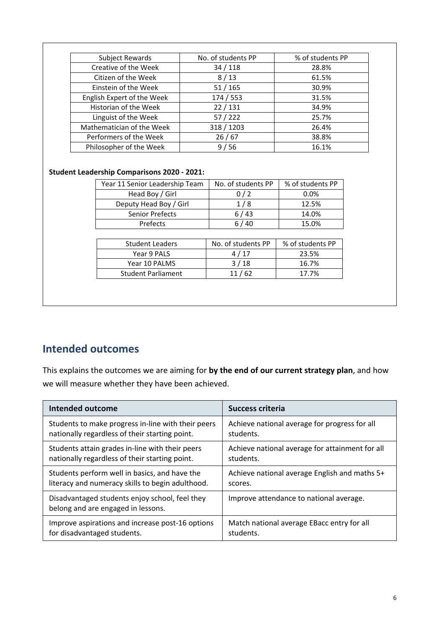| Subject Rewards            | No. of students PP | % of students PP |
|----------------------------|--------------------|------------------|
| Creative of the Week       | 34/118             | 28.8%            |
| Citizen of the Week        | 8/13               | 61.5%            |
| Einstein of the Week       | 51/165             | 30.9%            |
| English Expert of the Week | 174 / 553          | 31.5%            |
| Historian of the Week      | 22/131             | 34.9%            |
| Linguist of the Week       | 57/222             | 25.7%            |
| Mathematician of the Week  | 318 / 1203         | 26.4%            |
| Performers of the Week     | 26/67              | 38.8%            |
| Philosopher of the Week    | 9/56               | 16.1%            |

### **Student Leadership Comparisons 2020 - 2021:**

| No. of students PP | % of students PP |
|--------------------|------------------|
| 0/2                | 0.0%             |
| 1/8                | 12.5%            |
| 6/43               | 14.0%            |
| 6/40               | 15.0%            |
|                    |                  |
| No. of students PP | % of students PP |
| 4/17               | 23.5%            |
| 3/18               | 16.7%            |
| 11/62              | 17.7%            |
|                    |                  |

## **Intended outcomes**

This explains the outcomes we are aiming for **by the end of our current strategy plan**, and how we will measure whether they have been achieved.

| <b>Intended outcome</b>                                                              | <b>Success criteria</b>                         |
|--------------------------------------------------------------------------------------|-------------------------------------------------|
| Students to make progress in-line with their peers                                   | Achieve national average for progress for all   |
| nationally regardless of their starting point.                                       | students.                                       |
| Students attain grades in-line with their peers                                      | Achieve national average for attainment for all |
| nationally regardless of their starting point.                                       | students.                                       |
| Students perform well in basics, and have the                                        | Achieve national average English and maths 5+   |
| literacy and numeracy skills to begin adulthood.                                     | scores.                                         |
| Disadvantaged students enjoy school, feel they<br>belong and are engaged in lessons. | Improve attendance to national average.         |
| Improve aspirations and increase post-16 options                                     | Match national average EBacc entry for all      |
| for disadvantaged students.                                                          | students.                                       |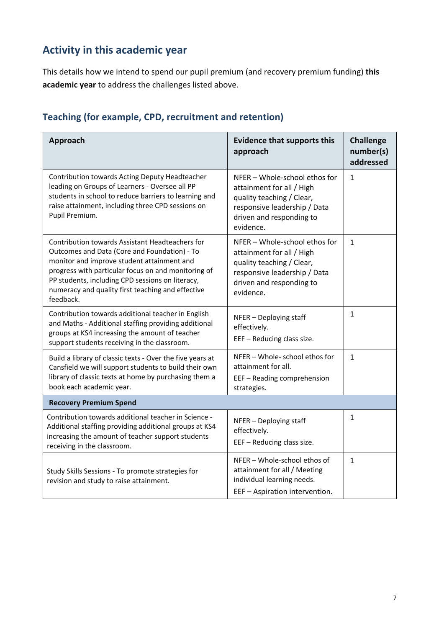# **Activity in this academic year**

This details how we intend to spend our pupil premium (and recovery premium funding) **this academic year** to address the challenges listed above.

| Teaching (for example, CPD, recruitment and retention) |  |  |  |  |  |
|--------------------------------------------------------|--|--|--|--|--|
|--------------------------------------------------------|--|--|--|--|--|

| <b>Approach</b>                                                                                                                                                                                                                                                                                                            | <b>Evidence that supports this</b><br>approach                                                                                                                   | <b>Challenge</b><br>number(s)<br>addressed |
|----------------------------------------------------------------------------------------------------------------------------------------------------------------------------------------------------------------------------------------------------------------------------------------------------------------------------|------------------------------------------------------------------------------------------------------------------------------------------------------------------|--------------------------------------------|
| Contribution towards Acting Deputy Headteacher<br>leading on Groups of Learners - Oversee all PP<br>students in school to reduce barriers to learning and<br>raise attainment, including three CPD sessions on<br>Pupil Premium.                                                                                           | NFER - Whole-school ethos for<br>attainment for all / High<br>quality teaching / Clear,<br>responsive leadership / Data<br>driven and responding to<br>evidence. | $\mathbf{1}$                               |
| Contribution towards Assistant Headteachers for<br>Outcomes and Data (Core and Foundation) - To<br>monitor and improve student attainment and<br>progress with particular focus on and monitoring of<br>PP students, including CPD sessions on literacy,<br>numeracy and quality first teaching and effective<br>feedback. | NFER - Whole-school ethos for<br>attainment for all / High<br>quality teaching / Clear,<br>responsive leadership / Data<br>driven and responding to<br>evidence. | $\mathbf{1}$                               |
| Contribution towards additional teacher in English<br>and Maths - Additional staffing providing additional<br>groups at KS4 increasing the amount of teacher<br>support students receiving in the classroom.                                                                                                               | NFER - Deploying staff<br>effectively.<br>EEF - Reducing class size.                                                                                             | $\mathbf{1}$                               |
| Build a library of classic texts - Over the five years at<br>Cansfield we will support students to build their own<br>library of classic texts at home by purchasing them a<br>book each academic year.                                                                                                                    | NFER - Whole- school ethos for<br>attainment for all.<br>EEF - Reading comprehension<br>strategies.                                                              | $\mathbf{1}$                               |
| <b>Recovery Premium Spend</b>                                                                                                                                                                                                                                                                                              |                                                                                                                                                                  |                                            |
| Contribution towards additional teacher in Science -<br>Additional staffing providing additional groups at KS4<br>increasing the amount of teacher support students<br>receiving in the classroom.                                                                                                                         | NFER - Deploying staff<br>effectively.<br>EEF - Reducing class size.                                                                                             | 1                                          |
| Study Skills Sessions - To promote strategies for<br>revision and study to raise attainment.                                                                                                                                                                                                                               | NFER - Whole-school ethos of<br>attainment for all / Meeting<br>individual learning needs.<br>EEF - Aspiration intervention.                                     | $\mathbf{1}$                               |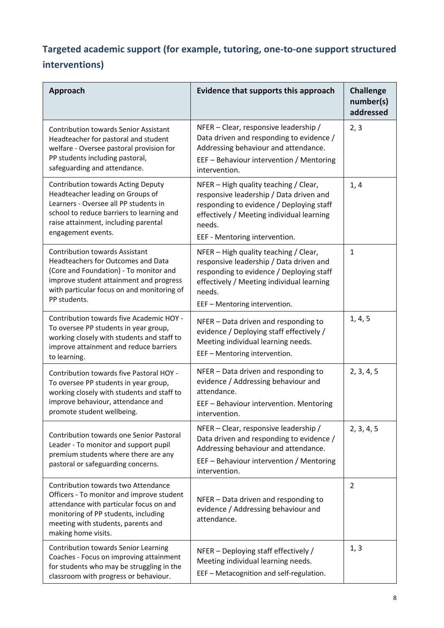## **Targeted academic support (for example, tutoring, one-to-one support structured interventions)**

| Approach                                                                                                                                                                                                                          | <b>Evidence that supports this approach</b>                                                                                                                                                                          | <b>Challenge</b><br>number(s)<br>addressed |
|-----------------------------------------------------------------------------------------------------------------------------------------------------------------------------------------------------------------------------------|----------------------------------------------------------------------------------------------------------------------------------------------------------------------------------------------------------------------|--------------------------------------------|
| <b>Contribution towards Senior Assistant</b><br>Headteacher for pastoral and student<br>welfare - Oversee pastoral provision for<br>PP students including pastoral,<br>safeguarding and attendance.                               | NFER - Clear, responsive leadership /<br>Data driven and responding to evidence /<br>Addressing behaviour and attendance.<br>EEF - Behaviour intervention / Mentoring<br>intervention.                               | 2, 3                                       |
| <b>Contribution towards Acting Deputy</b><br>Headteacher leading on Groups of<br>Learners - Oversee all PP students in<br>school to reduce barriers to learning and<br>raise attainment, including parental<br>engagement events. | NFER - High quality teaching / Clear,<br>responsive leadership / Data driven and<br>responding to evidence / Deploying staff<br>effectively / Meeting individual learning<br>needs.<br>EEF - Mentoring intervention. | 1, 4                                       |
| <b>Contribution towards Assistant</b><br>Headteachers for Outcomes and Data<br>(Core and Foundation) - To monitor and<br>improve student attainment and progress<br>with particular focus on and monitoring of<br>PP students.    | NFER - High quality teaching / Clear,<br>responsive leadership / Data driven and<br>responding to evidence / Deploying staff<br>effectively / Meeting individual learning<br>needs.<br>EEF - Mentoring intervention. | $\mathbf{1}$                               |
| Contribution towards five Academic HOY -<br>To oversee PP students in year group,<br>working closely with students and staff to<br>improve attainment and reduce barriers<br>to learning.                                         | NFER - Data driven and responding to<br>evidence / Deploying staff effectively /<br>Meeting individual learning needs.<br>EEF - Mentoring intervention.                                                              | 1, 4, 5                                    |
| Contribution towards five Pastoral HOY -<br>To oversee PP students in year group,<br>working closely with students and staff to<br>improve behaviour, attendance and<br>promote student wellbeing.                                | NFER - Data driven and responding to<br>evidence / Addressing behaviour and<br>attendance.<br>EEF - Behaviour intervention. Mentoring<br>intervention.                                                               | 2, 3, 4, 5                                 |
| Contribution towards one Senior Pastoral<br>Leader - To monitor and support pupil<br>premium students where there are any<br>pastoral or safeguarding concerns.                                                                   | NFER - Clear, responsive leadership /<br>Data driven and responding to evidence /<br>Addressing behaviour and attendance.<br>EEF - Behaviour intervention / Mentoring<br>intervention.                               | 2, 3, 4, 5                                 |
| Contribution towards two Attendance<br>Officers - To monitor and improve student<br>attendance with particular focus on and<br>monitoring of PP students, including<br>meeting with students, parents and<br>making home visits.  | NFER - Data driven and responding to<br>evidence / Addressing behaviour and<br>attendance.                                                                                                                           | $\overline{2}$                             |
| Contribution towards Senior Learning<br>Coaches - Focus on improving attainment<br>for students who may be struggling in the<br>classroom with progress or behaviour.                                                             | NFER - Deploying staff effectively /<br>Meeting individual learning needs.<br>EEF - Metacognition and self-regulation.                                                                                               | 1, 3                                       |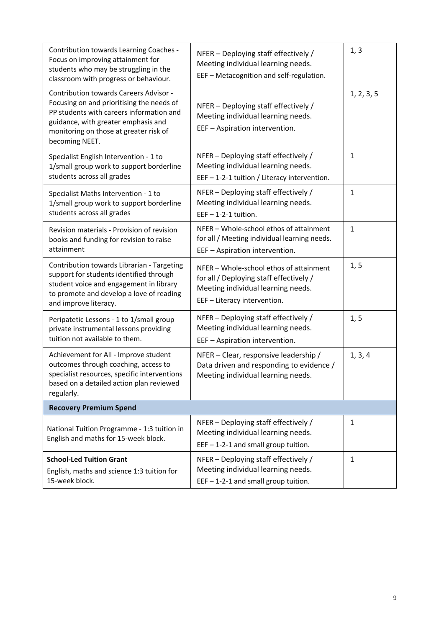| Contribution towards Learning Coaches -<br>Focus on improving attainment for<br>students who may be struggling in the<br>classroom with progress or behaviour.                                                                     | NFER - Deploying staff effectively /<br>Meeting individual learning needs.<br>EEF - Metacognition and self-regulation.                                   | 1, 3         |
|------------------------------------------------------------------------------------------------------------------------------------------------------------------------------------------------------------------------------------|----------------------------------------------------------------------------------------------------------------------------------------------------------|--------------|
| Contribution towards Careers Advisor -<br>Focusing on and prioritising the needs of<br>PP students with careers information and<br>guidance, with greater emphasis and<br>monitoring on those at greater risk of<br>becoming NEET. | NFER - Deploying staff effectively /<br>Meeting individual learning needs.<br>EEF - Aspiration intervention.                                             | 1, 2, 3, 5   |
| Specialist English Intervention - 1 to<br>1/small group work to support borderline<br>students across all grades                                                                                                                   | NFER - Deploying staff effectively /<br>Meeting individual learning needs.<br>EEF $-1-2-1$ tuition / Literacy intervention.                              | $\mathbf{1}$ |
| Specialist Maths Intervention - 1 to<br>1/small group work to support borderline<br>students across all grades                                                                                                                     | NFER - Deploying staff effectively /<br>Meeting individual learning needs.<br>$EEF - 1-2-1$ tuition.                                                     | $\mathbf{1}$ |
| Revision materials - Provision of revision<br>books and funding for revision to raise<br>attainment                                                                                                                                | NFER - Whole-school ethos of attainment<br>for all / Meeting individual learning needs.<br>EEF - Aspiration intervention.                                | $\mathbf{1}$ |
| Contribution towards Librarian - Targeting<br>support for students identified through<br>student voice and engagement in library<br>to promote and develop a love of reading<br>and improve literacy.                              | NFER - Whole-school ethos of attainment<br>for all / Deploying staff effectively /<br>Meeting individual learning needs.<br>EEF - Literacy intervention. | 1, 5         |
| Peripatetic Lessons - 1 to 1/small group<br>private instrumental lessons providing<br>tuition not available to them.                                                                                                               | NFER - Deploying staff effectively /<br>Meeting individual learning needs.<br>EEF - Aspiration intervention.                                             | 1, 5         |
| Achievement for All - Improve student<br>outcomes through coaching, access to<br>specialist resources, specific interventions<br>based on a detailed action plan reviewed<br>regularly.                                            | NFER - Clear, responsive leadership /<br>Data driven and responding to evidence /<br>Meeting individual learning needs.                                  | 1, 3, 4      |
| <b>Recovery Premium Spend</b>                                                                                                                                                                                                      |                                                                                                                                                          |              |
| National Tuition Programme - 1:3 tuition in<br>English and maths for 15-week block.                                                                                                                                                | NFER - Deploying staff effectively /<br>Meeting individual learning needs.<br>$EEF - 1-2-1$ and small group tuition.                                     | $\mathbf{1}$ |
| <b>School-Led Tuition Grant</b><br>English, maths and science 1:3 tuition for<br>15-week block.                                                                                                                                    | NFER - Deploying staff effectively /<br>Meeting individual learning needs.<br>$EEF - 1-2-1$ and small group tuition.                                     | $\mathbf{1}$ |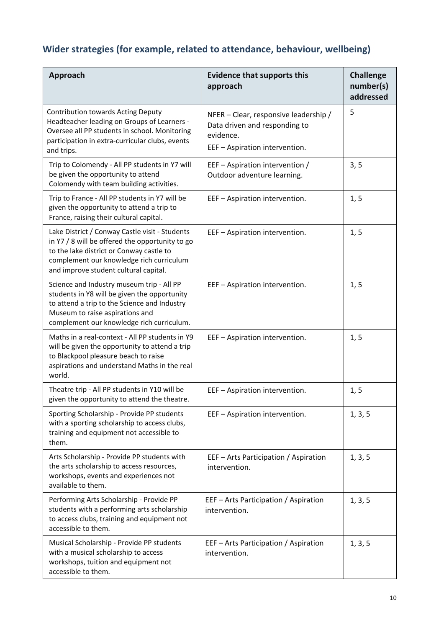# **Wider strategies (for example, related to attendance, behaviour, wellbeing)**

| Approach                                                                                                                                                                                                                           | <b>Evidence that supports this</b><br>approach                                                                        | <b>Challenge</b><br>number(s)<br>addressed |
|------------------------------------------------------------------------------------------------------------------------------------------------------------------------------------------------------------------------------------|-----------------------------------------------------------------------------------------------------------------------|--------------------------------------------|
| <b>Contribution towards Acting Deputy</b><br>Headteacher leading on Groups of Learners -<br>Oversee all PP students in school. Monitoring<br>participation in extra-curricular clubs, events<br>and trips.                         | NFER - Clear, responsive leadership /<br>Data driven and responding to<br>evidence.<br>EEF - Aspiration intervention. | 5                                          |
| Trip to Colomendy - All PP students in Y7 will<br>be given the opportunity to attend<br>Colomendy with team building activities.                                                                                                   | EEF - Aspiration intervention /<br>Outdoor adventure learning.                                                        | 3, 5                                       |
| Trip to France - All PP students in Y7 will be<br>given the opportunity to attend a trip to<br>France, raising their cultural capital.                                                                                             | EEF - Aspiration intervention.                                                                                        | 1, 5                                       |
| Lake District / Conway Castle visit - Students<br>in Y7 / 8 will be offered the opportunity to go<br>to the lake district or Conway castle to<br>complement our knowledge rich curriculum<br>and improve student cultural capital. | EEF - Aspiration intervention.                                                                                        | 1, 5                                       |
| Science and Industry museum trip - All PP<br>students in Y8 will be given the opportunity<br>to attend a trip to the Science and Industry<br>Museum to raise aspirations and<br>complement our knowledge rich curriculum.          | EEF - Aspiration intervention.                                                                                        | 1, 5                                       |
| Maths in a real-context - All PP students in Y9<br>will be given the opportunity to attend a trip<br>to Blackpool pleasure beach to raise<br>aspirations and understand Maths in the real<br>world.                                | EEF - Aspiration intervention.                                                                                        | 1, 5                                       |
| Theatre trip - All PP students in Y10 will be<br>given the opportunity to attend the theatre.                                                                                                                                      | EEF - Aspiration intervention.                                                                                        | 1, 5                                       |
| Sporting Scholarship - Provide PP students<br>with a sporting scholarship to access clubs,<br>training and equipment not accessible to<br>them.                                                                                    | EEF - Aspiration intervention.                                                                                        | 1, 3, 5                                    |
| Arts Scholarship - Provide PP students with<br>the arts scholarship to access resources,<br>workshops, events and experiences not<br>available to them.                                                                            | EEF - Arts Participation / Aspiration<br>intervention.                                                                | 1, 3, 5                                    |
| Performing Arts Scholarship - Provide PP<br>students with a performing arts scholarship<br>to access clubs, training and equipment not<br>accessible to them.                                                                      | EEF - Arts Participation / Aspiration<br>intervention.                                                                | 1, 3, 5                                    |
| Musical Scholarship - Provide PP students<br>with a musical scholarship to access<br>workshops, tuition and equipment not<br>accessible to them.                                                                                   | EEF - Arts Participation / Aspiration<br>intervention.                                                                | 1, 3, 5                                    |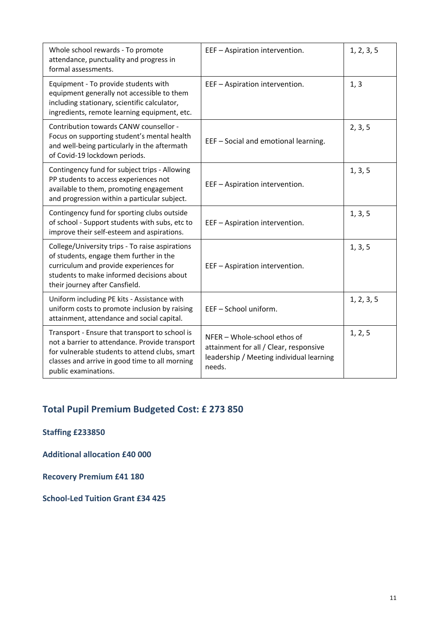| Whole school rewards - To promote<br>attendance, punctuality and progress in<br>formal assessments.                                                                                                                          | EEF - Aspiration intervention.                                                                                               | 1, 2, 3, 5 |
|------------------------------------------------------------------------------------------------------------------------------------------------------------------------------------------------------------------------------|------------------------------------------------------------------------------------------------------------------------------|------------|
| Equipment - To provide students with<br>equipment generally not accessible to them<br>including stationary, scientific calculator,<br>ingredients, remote learning equipment, etc.                                           | EEF - Aspiration intervention.                                                                                               | 1, 3       |
| Contribution towards CANW counsellor -<br>Focus on supporting student's mental health<br>and well-being particularly in the aftermath<br>of Covid-19 lockdown periods.                                                       | EEF - Social and emotional learning.                                                                                         | 2, 3, 5    |
| Contingency fund for subject trips - Allowing<br>PP students to access experiences not<br>available to them, promoting engagement<br>and progression within a particular subject.                                            | EEF - Aspiration intervention.                                                                                               | 1, 3, 5    |
| Contingency fund for sporting clubs outside<br>of school - Support students with subs, etc to<br>improve their self-esteem and aspirations.                                                                                  | EEF - Aspiration intervention.                                                                                               | 1, 3, 5    |
| College/University trips - To raise aspirations<br>of students, engage them further in the<br>curriculum and provide experiences for<br>students to make informed decisions about<br>their journey after Cansfield.          | EEF - Aspiration intervention.                                                                                               | 1, 3, 5    |
| Uniform including PE kits - Assistance with<br>uniform costs to promote inclusion by raising<br>attainment, attendance and social capital.                                                                                   | EEF-School uniform.                                                                                                          | 1, 2, 3, 5 |
| Transport - Ensure that transport to school is<br>not a barrier to attendance. Provide transport<br>for vulnerable students to attend clubs, smart<br>classes and arrive in good time to all morning<br>public examinations. | NFER - Whole-school ethos of<br>attainment for all / Clear, responsive<br>leadership / Meeting individual learning<br>needs. | 1, 2, 5    |

## **Total Pupil Premium Budgeted Cost: £ 273 850**

**Staffing £233850**

**Additional allocation £40 000**

**Recovery Premium £41 180**

**School-Led Tuition Grant £34 425**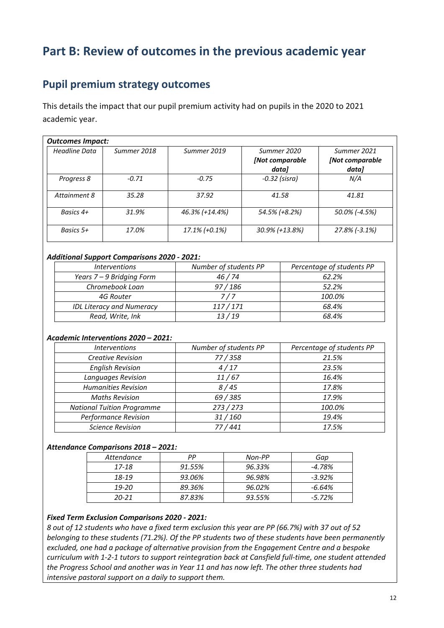# **Part B: Review of outcomes in the previous academic year**

### **Pupil premium strategy outcomes**

This details the impact that our pupil premium activity had on pupils in the 2020 to 2021 academic year.

| <b>Outcomes Impact:</b> |             |                  |                 |                 |
|-------------------------|-------------|------------------|-----------------|-----------------|
| <b>Headline Data</b>    | Summer 2018 | Summer 2019      | Summer 2020     | Summer 2021     |
|                         |             |                  | [Not comparable | [Not comparable |
|                         |             |                  | data]           | data]           |
| Progress 8              | $-0.71$     | $-0.75$          | $-0.32$ (sisra) | N/A             |
| Attainment 8            | 35.28       | 37.92            | 41.58           | 41.81           |
| Basics 4+               | 31.9%       | 46.3% (+14.4%)   | 54.5% (+8.2%)   | 50.0% (-4.5%)   |
| Basics $5+$             | 17.0%       | $17.1\%$ (+0.1%) | 30.9% (+13.8%)  | 27.8% (-3.1%)   |

### *Additional Support Comparisons 2020 - 2021:*

| <i><u><b>Interventions</b></u></i> | Number of students PP | Percentage of students PP |
|------------------------------------|-----------------------|---------------------------|
| Years 7 – 9 Bridging Form          | 46/74                 | 62.2%                     |
| Chromebook Loan                    | 97/186                | 52.2%                     |
| 4G Router                          | 7/7                   | 100.0%                    |
| <b>IDL Literacy and Numeracy</b>   | 117/171               | 68.4%                     |
| Read, Write, Ink                   | 13/19                 | 68.4%                     |

### *Academic Interventions 2020 – 2021:*

| <i><b>Interventions</b></i>       | Number of students PP | Percentage of students PP |
|-----------------------------------|-----------------------|---------------------------|
| <b>Creative Revision</b>          | 77/358                | 21.5%                     |
| <b>English Revision</b>           | 4/17                  | 23.5%                     |
| Languages Revision                | 11/67                 | 16.4%                     |
| <b>Humanities Revision</b>        | 8/45                  | 17.8%                     |
| <b>Maths Revision</b>             | 69 / 385              | 17.9%                     |
| <b>National Tuition Programme</b> | 273 / 273             | 100.0%                    |
| <b>Performance Revision</b>       | 31/160                | 19.4%                     |
| <b>Science Revision</b>           | 77/441                | 17.5%                     |

### *Attendance Comparisons 2018 – 2021:*

| Attendance | PР     | Non-PP | Gap       |
|------------|--------|--------|-----------|
| 17-18      | 91.55% | 96.33% | $-4.78\%$ |
| 18-19      | 93.06% | 96.98% | $-3.92%$  |
| $19 - 20$  | 89.36% | 96.02% | -6.64%    |
| $20 - 21$  | 87.83% | 93.55% | $-5.72\%$ |

### *Fixed Term Exclusion Comparisons 2020 - 2021:*

*8 out of 12 students who have a fixed term exclusion this year are PP (66.7%) with 37 out of 52 belonging to these students (71.2%). Of the PP students two of these students have been permanently excluded, one had a package of alternative provision from the Engagement Centre and a bespoke curriculum with 1-2-1 tutors to support reintegration back at Cansfield full-time, one student attended the Progress School and another was in Year 11 and has now left. The other three students had intensive pastoral support on a daily to support them.*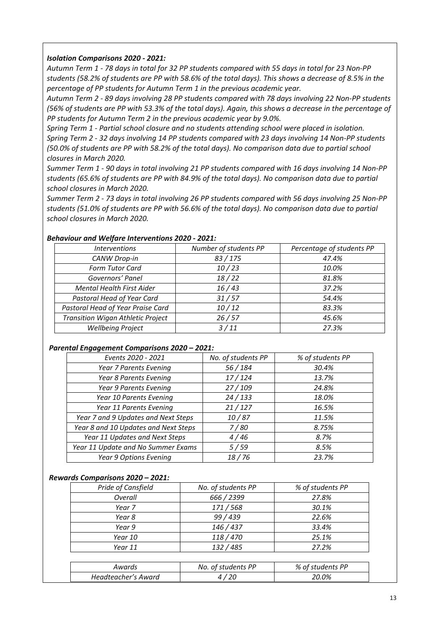### *Isolation Comparisons 2020 - 2021:*

*Autumn Term 1 - 78 days in total for 32 PP students compared with 55 days in total for 23 Non-PP students (58.2% of students are PP with 58.6% of the total days). This shows a decrease of 8.5% in the percentage of PP students for Autumn Term 1 in the previous academic year.*

*Autumn Term 2 - 89 days involving 28 PP students compared with 78 days involving 22 Non-PP students (56% of students are PP with 53.3% of the total days). Again, this shows a decrease in the percentage of PP students for Autumn Term 2 in the previous academic year by 9.0%.*

*Spring Term 1 - Partial school closure and no students attending school were placed in isolation. Spring Term 2 - 32 days involving 14 PP students compared with 23 days involving 14 Non-PP students (50.0% of students are PP with 58.2% of the total days). No comparison data due to partial school closures in March 2020.*

*Summer Term 1 - 90 days in total involving 21 PP students compared with 16 days involving 14 Non-PP students (65.6% of students are PP with 84.9% of the total days). No comparison data due to partial school closures in March 2020.*

*Summer Term 2 - 73 days in total involving 26 PP students compared with 56 days involving 25 Non-PP students (51.0% of students are PP with 56.6% of the total days). No comparison data due to partial school closures in March 2020.*

| <b>Interventions</b>                     | Number of students PP | Percentage of students PP |
|------------------------------------------|-----------------------|---------------------------|
| CANW Drop-in                             | 83/175                | 47.4%                     |
| Form Tutor Card                          | 10/23                 | 10.0%                     |
| Governors' Panel                         | 18/22                 | 81.8%                     |
| <b>Mental Health First Aider</b>         | 16/43                 | 37.2%                     |
| Pastoral Head of Year Card               | 31/57                 | 54.4%                     |
| Pastoral Head of Year Praise Card        | 10/12                 | 83.3%                     |
| <b>Transition Wigan Athletic Project</b> | 26/57                 | 45.6%                     |
| <b>Wellbeing Project</b>                 | 3/11                  | 27.3%                     |

#### *Behaviour and Welfare Interventions 2020 - 2021:*

#### *Parental Engagement Comparisons 2020 – 2021:*

| Events 2020 - 2021                   | No. of students PP | % of students PP |
|--------------------------------------|--------------------|------------------|
| Year 7 Parents Evening               | 56 / 184           | 30.4%            |
| Year 8 Parents Evening               | 17/124             | 13.7%            |
| Year 9 Parents Evening               | 27/109             | 24.8%            |
| Year 10 Parents Evening              | 24/133             | 18.0%            |
| Year 11 Parents Evening              | 21/127             | 16.5%            |
| Year 7 and 9 Updates and Next Steps  | 10/87              | 11.5%            |
| Year 8 and 10 Updates and Next Steps | 7/80               | 8.75%            |
| Year 11 Updates and Next Steps       | 4/46               | 8.7%             |
| Year 11 Update and No Summer Exams   | 5/59               | 8.5%             |
| Year 9 Options Evening               | 18/76              | 23.7%            |

### *Rewards Comparisons 2020 – 2021:*

| Pride of Cansfield  | No. of students PP | % of students PP |
|---------------------|--------------------|------------------|
| Overall             | 666 / 2399         | 27.8%            |
| Year 7              | 171/568            | 30.1%            |
| Year 8              | 99 / 439           | 22.6%            |
| Year 9              | 146/437            | 33.4%            |
| Year 10             | 118/470            | 25.1%            |
| Year 11             | 132/485            | 27.2%            |
|                     |                    |                  |
| Awards              | No. of students PP | % of students PP |
| Headteacher's Award | 4/20               | 20.0%            |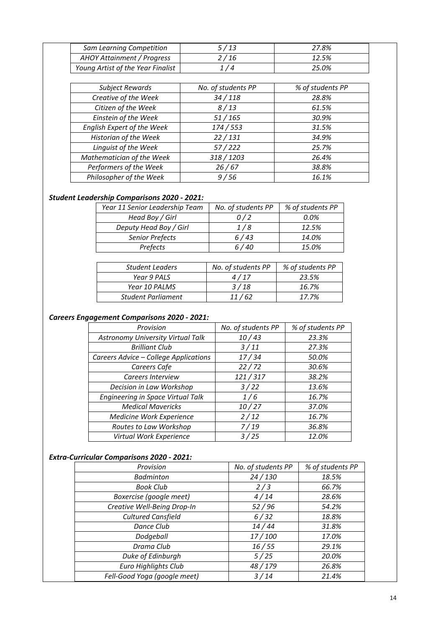| Sam Learning Competition          | 5 / 13           | 27.8% |  |
|-----------------------------------|------------------|-------|--|
| AHOY Attainment / Progress        | <sup>2</sup> /16 | 12.5% |  |
| Young Artist of the Year Finalist | 174              | 25.0% |  |

| <b>Subject Rewards</b>     | No. of students PP | % of students PP |
|----------------------------|--------------------|------------------|
| Creative of the Week       | 34/118             | 28.8%            |
| Citizen of the Week        | 8/13               | 61.5%            |
| Einstein of the Week       | 51/165             | 30.9%            |
| English Expert of the Week | 174/553            | 31.5%            |
| Historian of the Week      | 22/131             | 34.9%            |
| Linguist of the Week       | 57/222             | 25.7%            |
| Mathematician of the Week  | 318/1203           | 26.4%            |
| Performers of the Week     | 26/67              | 38.8%            |
| Philosopher of the Week    | 9/56               | 16.1%            |

### *Student Leadership Comparisons 2020 - 2021:*

| Year 11 Senior Leadership Team | No. of students PP | % of students PP |
|--------------------------------|--------------------|------------------|
| Head Boy / Girl                | 0/2                | 0.0%             |
| Deputy Head Boy / Girl         | 1/8                | 12.5%            |
| <b>Senior Prefects</b>         | 6/43               | 14.0%            |
| Prefects                       | 6/40               | 15.0%            |

| <b>Student Leaders</b>    | No. of students PP | % of students PP |
|---------------------------|--------------------|------------------|
| Year 9 PALS               | 4/17               | 23.5%            |
| Year 10 PALMS             | 3/18               | 16.7%            |
| <b>Student Parliament</b> | 11/62              | 17.7%            |

### *Careers Engagement Comparisons 2020 - 2021:*

| Provision                                | No. of students PP | % of students PP |
|------------------------------------------|--------------------|------------------|
| <b>Astronomy University Virtual Talk</b> | 10/43              | 23.3%            |
| <b>Brilliant Club</b>                    | 3/11               | 27.3%            |
| Careers Advice - College Applications    | 17/34              | 50.0%            |
| Careers Cafe                             | 22/72              | 30.6%            |
| Careers Interview                        | 121/317            | 38.2%            |
| Decision in Law Workshop                 | 3/22               | 13.6%            |
| Engineering in Space Virtual Talk        | 1/6                | 16.7%            |
| <b>Medical Mavericks</b>                 | 10/27              | 37.0%            |
| Medicine Work Experience                 | 2/12               | 16.7%            |
| Routes to Law Workshop                   | 7/19               | 36.8%            |
| Virtual Work Experience                  | 3/25               | 12.0%            |

### *Extra-Curricular Comparisons 2020 - 2021:*

| Provision                    | No. of students PP | % of students PP |
|------------------------------|--------------------|------------------|
| <b>Badminton</b>             | 24/130             | 18.5%            |
| <b>Book Club</b>             | 2/3                | 66.7%            |
| Boxercise (google meet)      | 4/14               | 28.6%            |
| Creative Well-Being Drop-In  | 52/96              | 54.2%            |
| <b>Cultured Cansfield</b>    | 6/32               | 18.8%            |
| Dance Club                   | 14/44              | 31.8%            |
| Dodgeball                    | 17/100             | 17.0%            |
| Drama Club                   | 16/55              | 29.1%            |
| Duke of Edinburgh            | 5/25               | 20.0%            |
| Euro Highlights Club         | 48/179             | 26.8%            |
| Fell-Good Yoga (google meet) | 3/14               | 21.4%            |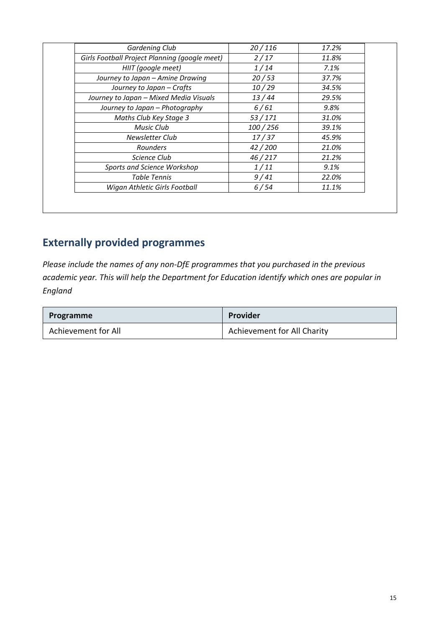| Gardening Club                                | 20/116  | 17.2% |
|-----------------------------------------------|---------|-------|
| Girls Football Project Planning (google meet) | 2/17    | 11.8% |
| HIIT (google meet)                            | 1/14    | 7.1%  |
| Journey to Japan - Amine Drawing              | 20/53   | 37.7% |
| Journey to Japan - Crafts                     | 10/29   | 34.5% |
| Journey to Japan - Mixed Media Visuals        | 13/44   | 29.5% |
| Journey to Japan - Photography                | 6/61    | 9.8%  |
| Maths Club Key Stage 3                        | 53/171  | 31.0% |
| Music Club                                    | 100/256 | 39.1% |
| Newsletter Club                               | 17/37   | 45.9% |
| <b>Rounders</b>                               | 42/200  | 21.0% |
| Science Club                                  | 46/217  | 21.2% |
| Sports and Science Workshop                   | 1/11    | 9.1%  |
| Table Tennis                                  | 9/41    | 22.0% |
| Wigan Athletic Girls Football                 | 6/54    | 11.1% |

# **Externally provided programmes**

*Please include the names of any non-DfE programmes that you purchased in the previous academic year. This will help the Department for Education identify which ones are popular in England*

| Programme           | Provider                    |
|---------------------|-----------------------------|
| Achievement for All | Achievement for All Charity |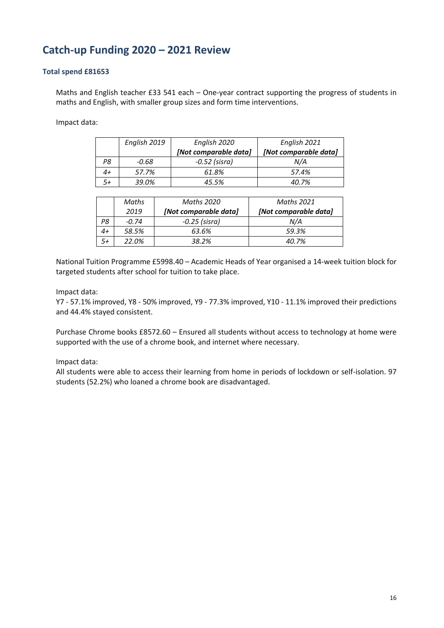### **Catch-up Funding 2020 – 2021 Review**

### **Total spend £81653**

Maths and English teacher £33 541 each – One-year contract supporting the progress of students in maths and English, with smaller group sizes and form time interventions.

Impact data:

|    | English 2019 | English 2020          | English 2021          |
|----|--------------|-----------------------|-----------------------|
|    |              | [Not comparable data] | [Not comparable data] |
| Ρ8 | -0.68        | $-0.52$ (sisra)       | N/A                   |
|    | 57.7%        | 61.8%                 | 57.4%                 |
|    | 39.0%        | 45.5%                 | 40.7%                 |

|      | Maths   | Maths 2020            | <b>Maths 2021</b>     |
|------|---------|-----------------------|-----------------------|
|      | 2019    | [Not comparable data] | [Not comparable data] |
| P8   | $-0.74$ | -0.25 (sisra)         | N/A                   |
| 4+   | 58.5%   | 63.6%                 | 59.3%                 |
| $5+$ | 22.0%   | 38.2%                 | 40.7%                 |

National Tuition Programme £5998.40 – Academic Heads of Year organised a 14-week tuition block for targeted students after school for tuition to take place.

Impact data:

Y7 - 57.1% improved, Y8 - 50% improved, Y9 - 77.3% improved, Y10 - 11.1% improved their predictions and 44.4% stayed consistent.

Purchase Chrome books £8572.60 – Ensured all students without access to technology at home were supported with the use of a chrome book, and internet where necessary.

### Impact data:

All students were able to access their learning from home in periods of lockdown or self-isolation. 97 students (52.2%) who loaned a chrome book are disadvantaged.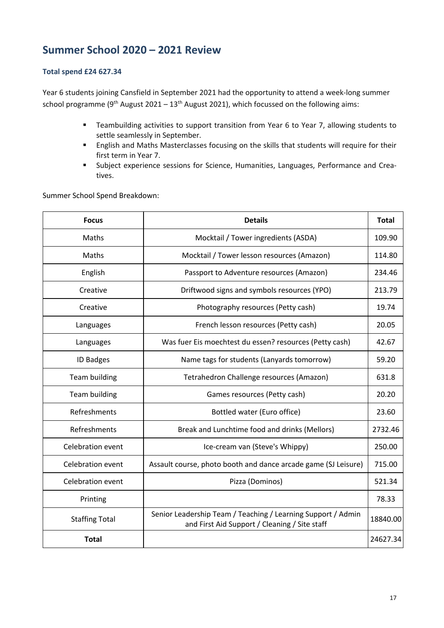### **Summer School 2020 – 2021 Review**

### **Total spend £24 627.34**

Year 6 students joining Cansfield in September 2021 had the opportunity to attend a week-long summer school programme (9<sup>th</sup> August 2021 – 13<sup>th</sup> August 2021), which focussed on the following aims:

- Teambuilding activities to support transition from Year 6 to Year 7, allowing students to settle seamlessly in September.
- English and Maths Masterclasses focusing on the skills that students will require for their first term in Year 7.
- § Subject experience sessions for Science, Humanities, Languages, Performance and Creatives.

Summer School Spend Breakdown:

| <b>Focus</b>             | <b>Details</b>                                                                                                | <b>Total</b> |
|--------------------------|---------------------------------------------------------------------------------------------------------------|--------------|
| Maths                    | Mocktail / Tower ingredients (ASDA)                                                                           | 109.90       |
| Maths                    | Mocktail / Tower lesson resources (Amazon)                                                                    | 114.80       |
| English                  | Passport to Adventure resources (Amazon)                                                                      | 234.46       |
| Creative                 | Driftwood signs and symbols resources (YPO)                                                                   | 213.79       |
| Creative                 | Photography resources (Petty cash)                                                                            | 19.74        |
| Languages                | French lesson resources (Petty cash)                                                                          | 20.05        |
| Languages                | Was fuer Eis moechtest du essen? resources (Petty cash)                                                       | 42.67        |
| <b>ID Badges</b>         | Name tags for students (Lanyards tomorrow)                                                                    | 59.20        |
| <b>Team building</b>     | Tetrahedron Challenge resources (Amazon)                                                                      | 631.8        |
| <b>Team building</b>     | Games resources (Petty cash)                                                                                  | 20.20        |
| Refreshments             | Bottled water (Euro office)                                                                                   | 23.60        |
| Refreshments             | Break and Lunchtime food and drinks (Mellors)                                                                 | 2732.46      |
| Celebration event        | Ice-cream van (Steve's Whippy)                                                                                | 250.00       |
| Celebration event        | Assault course, photo booth and dance arcade game (SJ Leisure)                                                | 715.00       |
| <b>Celebration event</b> | Pizza (Dominos)                                                                                               | 521.34       |
| Printing                 |                                                                                                               | 78.33        |
| <b>Staffing Total</b>    | Senior Leadership Team / Teaching / Learning Support / Admin<br>and First Aid Support / Cleaning / Site staff | 18840.00     |
| <b>Total</b>             |                                                                                                               | 24627.34     |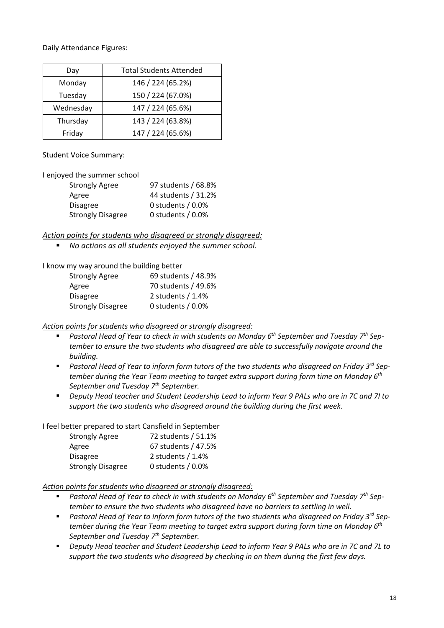Daily Attendance Figures:

| Day       | <b>Total Students Attended</b> |
|-----------|--------------------------------|
| Monday    | 146 / 224 (65.2%)              |
| Tuesday   | 150 / 224 (67.0%)              |
| Wednesday | 147 / 224 (65.6%)              |
| Thursday  | 143 / 224 (63.8%)              |
| Friday    | 147 / 224 (65.6%)              |

Student Voice Summary:

I enjoyed the summer school

| <b>Strongly Agree</b>    | 97 students / 68.8%  |
|--------------------------|----------------------|
| Agree                    | 44 students / 31.2%  |
| <b>Disagree</b>          | 0 students $/ 0.0\%$ |
| <b>Strongly Disagree</b> | 0 students $/ 0.0\%$ |

*Action points for students who disagreed or strongly disagreed:*

■ *No actions as all students enjoyed the summer school.* 

I know my way around the building better

| <b>Strongly Agree</b>    | 69 students / 48.9%  |
|--------------------------|----------------------|
| Agree                    | 70 students / 49.6%  |
| <b>Disagree</b>          | 2 students $/ 1.4%$  |
| <b>Strongly Disagree</b> | 0 students $/ 0.0\%$ |

*Action points for students who disagreed or strongly disagreed:*

- *Pastoral Head of Year to check in with students on Monday 6<sup>th</sup> September and Tuesday 7<sup>th</sup> September to ensure the two students who disagreed are able to successfully navigate around the building.*
- Pastoral Head of Year to inform form tutors of the two students who disagreed on Friday 3<sup>rd</sup> Sep*tember during the Year Team meeting to target extra support during form time on Monday 6th September and Tuesday 7th September.*
- § *Deputy Head teacher and Student Leadership Lead to inform Year 9 PALs who are in 7C and 7I to support the two students who disagreed around the building during the first week.*

I feel better prepared to start Cansfield in September

| <b>Strongly Agree</b>    | 72 students / 51.1%  |
|--------------------------|----------------------|
| Agree                    | 67 students / 47.5%  |
| <b>Disagree</b>          | 2 students $/ 1.4%$  |
| <b>Strongly Disagree</b> | 0 students $/ 0.0\%$ |

*Action points for students who disagreed or strongly disagreed:*

- Pastoral Head of Year to check in with students on Monday 6<sup>th</sup> September and Tuesday 7<sup>th</sup> Sep*tember to ensure the two students who disagreed have no barriers to settling in well.*
- Pastoral Head of Year to inform form tutors of the two students who disagreed on Friday 3<sup>rd</sup> Sep*tember during the Year Team meeting to target extra support during form time on Monday 6th September and Tuesday 7th September.*
- § *Deputy Head teacher and Student Leadership Lead to inform Year 9 PALs who are in 7C and 7L to support the two students who disagreed by checking in on them during the first few days.*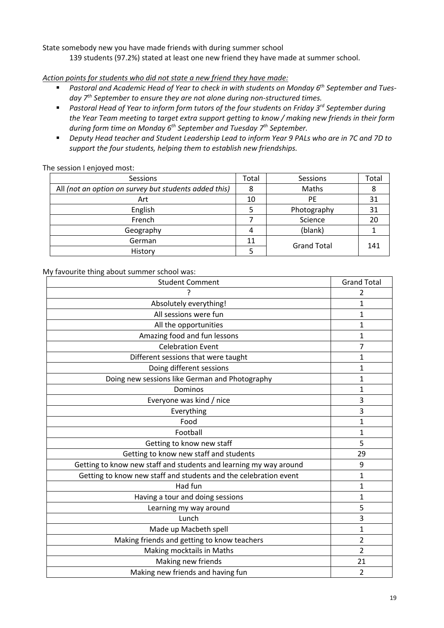State somebody new you have made friends with during summer school 139 students (97.2%) stated at least one new friend they have made at summer school.

*Action points for students who did not state a new friend they have made:*

- *Pastoral and Academic Head of Year to check in with students on Monday 6<sup>th</sup> September and Tuesday 7th September to ensure they are not alone during non-structured times.*
- *Pastoral Head of Year to inform form tutors of the four students on Friday 3<sup>rd</sup> September during the Year Team meeting to target extra support getting to know / making new friends in their form during form time on Monday 6th September and Tuesday 7th September.*
- *Deputy Head teacher and Student Leadership Lead to inform Year 9 PALs who are in 7C and 7D to support the four students, helping them to establish new friendships.*

| Sessions                                              | Total | Sessions           | Total |
|-------------------------------------------------------|-------|--------------------|-------|
| All (not an option on survey but students added this) |       | Maths              | 8     |
| Art                                                   | 10    | PE                 | 31    |
| English                                               |       | Photography        | 31    |
| French                                                |       | Science            | 20    |
| Geography                                             | 4     | (blank)            |       |
| German                                                | 11    | <b>Grand Total</b> | 141   |
| History                                               |       |                    |       |

The session I enjoyed most:

My favourite thing about summer school was:

| <b>Student Comment</b>                                            | <b>Grand Total</b> |
|-------------------------------------------------------------------|--------------------|
|                                                                   | 2                  |
| Absolutely everything!                                            | 1                  |
| All sessions were fun                                             | 1                  |
| All the opportunities                                             | $\mathbf 1$        |
| Amazing food and fun lessons                                      | 1                  |
| <b>Celebration Event</b>                                          | 7                  |
| Different sessions that were taught                               | 1                  |
| Doing different sessions                                          | 1                  |
| Doing new sessions like German and Photography                    | 1                  |
| Dominos                                                           | $\mathbf{1}$       |
| Everyone was kind / nice                                          | 3                  |
| Everything                                                        | 3                  |
| Food                                                              | 1                  |
| Football                                                          | $\mathbf{1}$       |
| Getting to know new staff                                         | 5                  |
| Getting to know new staff and students                            | 29                 |
| Getting to know new staff and students and learning my way around | 9                  |
| Getting to know new staff and students and the celebration event  | 1                  |
| Had fun                                                           | 1                  |
| Having a tour and doing sessions                                  | 1                  |
| Learning my way around                                            | 5                  |
| Lunch                                                             | 3                  |
| Made up Macbeth spell                                             | $\mathbf{1}$       |
| Making friends and getting to know teachers                       | $\overline{2}$     |
| Making mocktails in Maths                                         | 2                  |
| Making new friends                                                | 21                 |
| Making new friends and having fun                                 | $\overline{2}$     |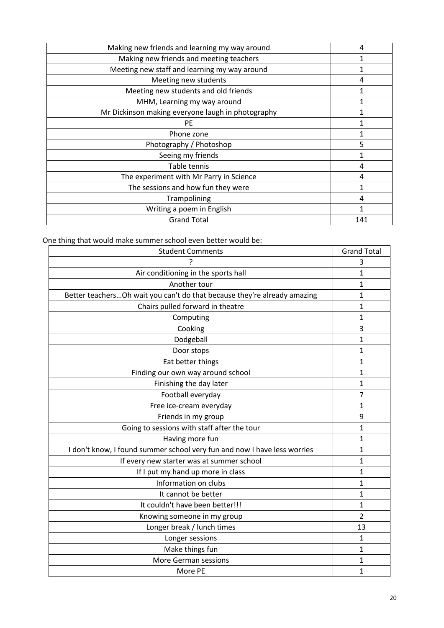| Making new friends and learning my way around     | 4   |
|---------------------------------------------------|-----|
| Making new friends and meeting teachers           | 1   |
| Meeting new staff and learning my way around      | 1   |
| Meeting new students                              | 4   |
| Meeting new students and old friends              |     |
| MHM, Learning my way around                       |     |
| Mr Dickinson making everyone laugh in photography |     |
| <b>PE</b>                                         | 1   |
| Phone zone                                        |     |
| Photography / Photoshop                           | 5   |
| Seeing my friends                                 |     |
| Table tennis                                      | 4   |
| The experiment with Mr Parry in Science           | 4   |
| The sessions and how fun they were                | 1   |
| Trampolining                                      | 4   |
| Writing a poem in English                         |     |
| <b>Grand Total</b>                                | 141 |

One thing that would make summer school even better would be:

| <b>Student Comments</b>                                                   | <b>Grand Total</b> |
|---------------------------------------------------------------------------|--------------------|
|                                                                           | 3                  |
| Air conditioning in the sports hall                                       | $\overline{1}$     |
| Another tour                                                              | 1                  |
| Better teachers Oh wait you can't do that because they're already amazing | $\mathbf{1}$       |
| Chairs pulled forward in theatre                                          | 1                  |
| Computing                                                                 | $\mathbf{1}$       |
| Cooking                                                                   | 3                  |
| Dodgeball                                                                 | 1                  |
| Door stops                                                                | $\mathbf 1$        |
| Eat better things                                                         | $\mathbf 1$        |
| Finding our own way around school                                         | $\mathbf{1}$       |
| Finishing the day later                                                   | $\mathbf 1$        |
| Football everyday                                                         | $\overline{7}$     |
| Free ice-cream everyday                                                   | $\mathbf 1$        |
| Friends in my group                                                       | 9                  |
| Going to sessions with staff after the tour                               | 1                  |
| Having more fun                                                           | 1                  |
| I don't know, I found summer school very fun and now I have less worries  | $\mathbf 1$        |
| If every new starter was at summer school                                 | 1                  |
| If I put my hand up more in class                                         | 1                  |
| Information on clubs                                                      | $\mathbf{1}$       |
| It cannot be better                                                       | $\mathbf 1$        |
| It couldn't have been better!!!                                           | $\mathbf 1$        |
| Knowing someone in my group                                               | $\overline{2}$     |
| Longer break / lunch times                                                | 13                 |
| Longer sessions                                                           | $\mathbf 1$        |
| Make things fun                                                           | $\mathbf 1$        |
| <b>More German sessions</b>                                               | 1                  |
| More PE                                                                   | $\mathbf 1$        |